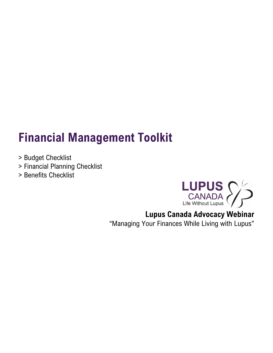# **Financial Management Toolkit**

- > Budget Checklist
- > Financial Planning Checklist
- > Benefits Checklist



# **Lupus Canada Advocacy Webinar**

"Managing Your Finances While Living with Lupus"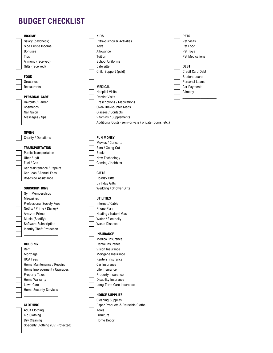# **BUDGET CHECKLIST**

## Salary (paycheck) **Extra-curricular Activities** Vet Visits Vet Visits Side Hustle Income **Toys** Pet Food Bonuses | Allowance | Pet Toys Tips **The Contract Contract Tuition** Pet Medications **The Medications** Alimony (received) School Uniforms Gifts (received) **DEBT** Babysitter **DEBT FOOD** Student Loans Groceries **Personal Loans** Personal Loans **Personal Loans** Restaurants **MEDICAL MEDICAL MEDICAL Car Payments Car Payments**

## **GIVING**

## **TRANSPORTATION**

Public Transportation Uber / Lyft Fuel / Gas Car Maintenance / Repairs Car Loan / Annual Fees **GIFTS** Roadside Assistance **Holiday Gifts** 

Gym Memberships Magazines **UTILITIES** Professional Society Fees **Internet / Cable** Netflix / Prime / Disney+ Phone Plan Amazon Prime **Heating / Natural Gas** Music (Spotify) Water / Electricity Software Subscription **Waste Disposal** Identity Theft Protection

Rent **Rent** Vision Insurance Mortgage Mortgage Insurance HOA Fees Renters Insurance Home Maintenance / Repairs **Car Insurance** Home Improvement / Upgrades Life Insurance Property Taxes **Property Insurance** Home Warranty **Disability** Insurance Lawn Care **Lawn** Care **Long-Term Care Insurance** Home Security Services

Adult Clothing Tools Tools Kid Clothing **Furniture Furniture** Dry Cleaning **Home Décor** Specialty Clothing (UV Protected)

 $\_$ 

Child Support (paid) Credit Card Debt

Hospital Visits **Alimony PERSONAL CARE** Dentist Visits \_\_\_\_\_\_\_\_\_\_\_\_\_\_\_\_\_\_\_ Haircuts / Barber **Prescriptions / Medications** Cosmetics **Cosmetics Cosmetics Cosmetics Cosmetics Cosmetics Cosmetics Cosmetics Cosmetics Cosmetics Cosmetics Cosmetics Cosmetics Cosmetics Cosmetics Cosmetics Cosmetics Cosmetics Cosmeti** Nail Salon Glasses / Contacts Messages / Spa Vitamins / Supplements Additional Costs (semi-private / private rooms, etc.)  $\_$ 

## Charity / Donations **FUN MONEY**

| Movies / Concerts |
|-------------------|
| Bars / Going Out  |
| Books             |
| New Technology    |
| Gaming / Hobbies  |
|                   |

Birthday Gifts **SUBSCRIPTIONS** Wedding / Shower Gifts

### \_\_\_\_\_\_\_\_\_\_\_\_\_\_\_\_\_\_\_ **INSURANCE**

Medical Insurance **HOUSING** Dental Insurance

## \_\_\_\_\_\_\_\_\_\_\_\_\_\_\_\_\_\_\_ **HOUSE SUPPLIES**



# **INCOME KIDS PETS**